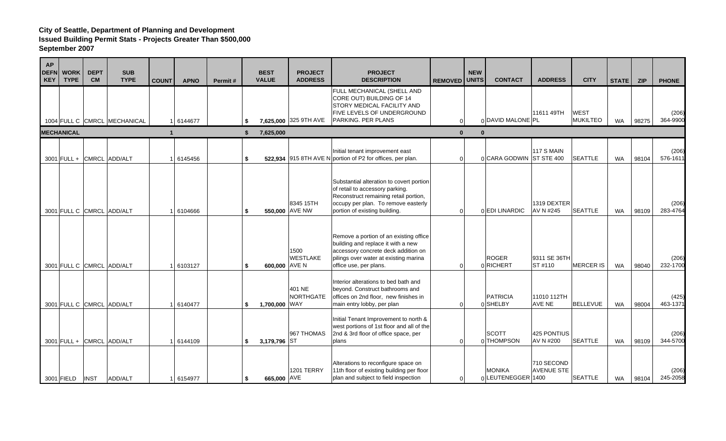| <b>AP</b><br><b>DEFN</b><br><b>KEY</b> | <b>WORK</b><br><b>TYPE</b> | <b>DEPT</b><br><b>CM</b> | <b>SUB</b><br><b>TYPE</b>    | <b>COUNT</b> | <b>APNO</b> | Permit# | <b>BEST</b><br><b>VALUE</b> | <b>PROJECT</b><br><b>ADDRESS</b> | <b>PROJECT</b><br><b>DESCRIPTION</b>                                                                                                                                                         | <b>REMOVED</b> | <b>NEW</b><br><b>UNITS</b> | <b>CONTACT</b>                     | <b>ADDRESS</b>                  | <b>CITY</b>                    | <b>STATE</b> | <b>ZIP</b> | <b>PHONE</b>      |
|----------------------------------------|----------------------------|--------------------------|------------------------------|--------------|-------------|---------|-----------------------------|----------------------------------|----------------------------------------------------------------------------------------------------------------------------------------------------------------------------------------------|----------------|----------------------------|------------------------------------|---------------------------------|--------------------------------|--------------|------------|-------------------|
|                                        |                            |                          | 1004 FULL C CMRCL MECHANICAL |              | 6144677     |         | \$                          | 7,625,000 325 9TH AVE            | FULL MECHANICAL (SHELL AND<br>CORE OUT) BUILDING OF 14<br><b>STORY MEDICAL FACILITY AND</b><br><b>FIVE LEVELS OF UNDERGROUND</b><br><b>PARKING. PER PLANS</b>                                | $\Omega$       |                            | 0 DAVID MALONE PL                  | 11611 49TH                      | <b>WEST</b><br><b>MUKILTEO</b> | <b>WA</b>    | 98275      | (206)<br>364-9900 |
|                                        | <b>MECHANICAL</b>          |                          |                              |              |             |         | \$<br>7,625,000             |                                  |                                                                                                                                                                                              | $\mathbf{0}$   | $\Omega$                   |                                    |                                 |                                |              |            |                   |
|                                        | 3001 FULL + CMRCL ADD/ALT  |                          |                              |              | 6145456     |         | \$                          |                                  | Initial tenant improvement east<br>522,934 915 8TH AVE N portion of P2 for offices, per plan.                                                                                                | $\Omega$       |                            | 0 CARA GODWIN ST STE 400           | 117 S MAIN                      | <b>SEATTLE</b>                 | <b>WA</b>    | 98104      | (206)<br>576-1611 |
|                                        | 3001 FULL C CMRCL ADD/ALT  |                          |                              |              | 6104666     |         | \$<br>550,000 AVE NW        | 8345 15TH                        | Substantial alteration to covert portion<br>of retail to accessory parking.<br>Reconstruct remaining retail portion,<br>occupy per plan. To remove easterly<br>portion of existing building. | $\Omega$       |                            | 0 EDI LINARDIC                     | 1319 DEXTER<br>AV N #245        | <b>SEATTLE</b>                 | <b>WA</b>    | 98109      | (206)<br>283-4764 |
|                                        | 3001 FULL C CMRCL ADD/ALT  |                          |                              |              | 6103127     |         | \$<br>600,000 AVE N         | 1500<br><b>WESTLAKE</b>          | Remove a portion of an existing office<br>building and replace it with a new<br>accessory concrete deck addition on<br>pilings over water at existing marina<br>office use, per plans.       | $\Omega$       |                            | <b>ROGER</b><br>0RICHERT           | 9311 SE 36TH<br>ST#110          | <b>MERCER IS</b>               | WA           | 98040      | (206)<br>232-1700 |
|                                        | 3001 FULL C CMRCL ADD/ALT  |                          |                              |              | 6140477     |         | \$<br>1,700,000 WAY         | 401 NE<br><b>NORTHGATE</b>       | Interior alterations to bed bath and<br>beyond. Construct bathrooms and<br>offices on 2nd floor, new finishes in<br>main entry lobby, per plan                                               | $\Omega$       |                            | <b>PATRICIA</b><br>0 SHELBY        | 11010 112TH<br><b>AVE NE</b>    | <b>BELLEVUE</b>                | <b>WA</b>    | 98004      | (425)<br>463-1371 |
|                                        | 3001 FULL + CMRCL ADD/ALT  |                          |                              |              | 6144109     |         | \$<br>3,179,796 ST          | 967 THOMAS                       | Initial Tenant Improvement to north &<br>west portions of 1st floor and all of the<br>2nd & 3rd floor of office space, per<br>plans                                                          | $\Omega$       |                            | <b>SCOTT</b><br>0 THOMPSON         | 425 PONTIUS<br>AV N #200        | <b>SEATTLE</b>                 | <b>WA</b>    | 98109      | (206)<br>344-5700 |
|                                        | 3001 FIELD                 | <b>INST</b>              | ADD/ALT                      |              | 6154977     |         | \$<br>665,000 AVE           | 1201 TERRY                       | Alterations to reconfigure space on<br>11th floor of existing building per floor<br>plan and subject to field inspection                                                                     | $\Omega$       |                            | <b>MONIKA</b><br>0LEUTENEGGER 1400 | 710 SECOND<br><b>AVENUE STE</b> | <b>SEATTLE</b>                 | <b>WA</b>    | 98104      | (206)<br>245-2058 |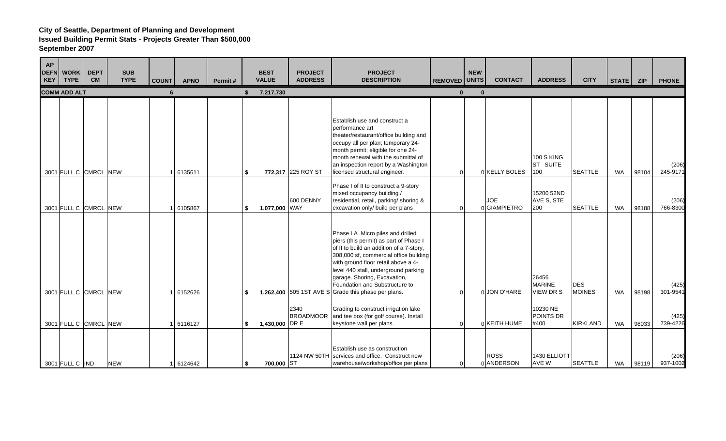| <b>AP</b><br><b>KEY</b> | <b>DEFN</b> WORK<br><b>TYPE</b> | <b>DEPT</b><br><b>CM</b> | <b>SUB</b><br><b>TYPE</b> | <b>COUNT</b> | <b>APNO</b> | Permit# | <b>BEST</b><br><b>VALUE</b> | <b>PROJECT</b><br><b>ADDRESS</b> | <b>PROJECT</b><br><b>DESCRIPTION</b>                                                                                                                                                                                                                                                                                                                                      | <b>REMOVED</b> | <b>NEW</b><br><b>UNITS</b> | <b>CONTACT</b>             | <b>ADDRESS</b>                             | <b>CITY</b>                 | STATE ZIP |       | <b>PHONE</b>      |
|-------------------------|---------------------------------|--------------------------|---------------------------|--------------|-------------|---------|-----------------------------|----------------------------------|---------------------------------------------------------------------------------------------------------------------------------------------------------------------------------------------------------------------------------------------------------------------------------------------------------------------------------------------------------------------------|----------------|----------------------------|----------------------------|--------------------------------------------|-----------------------------|-----------|-------|-------------------|
|                         | <b>COMM ADD ALT</b>             |                          |                           | 6            |             |         | 7,217,730                   |                                  |                                                                                                                                                                                                                                                                                                                                                                           | $\bf{0}$       | $\bf{0}$                   |                            |                                            |                             |           |       |                   |
|                         |                                 |                          |                           |              |             |         |                             |                                  |                                                                                                                                                                                                                                                                                                                                                                           |                |                            |                            |                                            |                             |           |       |                   |
|                         |                                 | 3001 FULL C CMRCL NEW    |                           |              | 6135611     |         | \$                          | 772,317 225 ROY ST               | Establish use and construct a<br>performance art<br>theater/restaurant/office building and<br>occupy all per plan; temporary 24-<br>month permit; eligible for one 24-<br>month renewal with the submittal of<br>an inspection report by a Washington<br>licensed structural engineer.                                                                                    | $\Omega$       |                            | 0 KELLY BOLES              | <b>100 S KING</b><br>ST SUITE<br>100       | <b>SEATTLE</b>              | <b>WA</b> | 98104 | (206)<br>245-9171 |
|                         |                                 | 3001 FULL C CMRCL NEW    |                           |              | 6105867     |         | \$<br>1,077,000 WAY         | 600 DENNY                        | Phase I of II to construct a 9-story<br>mixed occupancy building /<br>residential, retail, parking/ shoring &<br>excavation only/ build per plans                                                                                                                                                                                                                         | $\Omega$       |                            | <b>JOE</b><br>0 GIAMPIETRO | 15200 52ND<br>AVE S, STE<br>200            | <b>SEATTLE</b>              | <b>WA</b> | 98188 | (206)<br>766-8300 |
|                         |                                 | 3001 FULL C CMRCL NEW    |                           |              | 6152626     |         | \$                          |                                  | Phase I A Micro piles and drilled<br>piers (this permit) as part of Phase I<br>of II to build an addition of a 7-story,<br>308,000 sf, commercial office building<br>with ground floor retail above a 4-<br>level 440 stall, underground parking<br>garage. Shoring, Excavation,<br>Foundation and Substructure to<br>1,262,400 505 1ST AVE S Grade this phase per plans. | $\Omega$       |                            | 0 JON O'HARE               | 26456<br><b>MARINE</b><br><b>VIEW DR S</b> | <b>DES</b><br><b>MOINES</b> | <b>WA</b> | 98198 | (425)<br>301-9541 |
|                         |                                 | 3001 FULL C CMRCL NEW    |                           |              | 6116127     |         | \$<br>1,430,000 DR E        | 2340                             | Grading to construct irrigation lake<br>BROADMOOR and tee box (for golf course). Install<br>keystone wall per plans.                                                                                                                                                                                                                                                      | $\Omega$       |                            | 0 KEITH HUME               | 10230 NE<br><b>POINTS DR</b><br>#400       | <b>KIRKLAND</b>             | <b>WA</b> | 98033 | (425)<br>739-4226 |
|                         | 3001 FULL C IND                 |                          | <b>NEW</b>                |              | 1 6124642   |         | \$<br>700,000 ST            |                                  | Establish use as construction<br>1124 NW 50TH services and office. Construct new<br>warehouse/workshop/office per plans                                                                                                                                                                                                                                                   | $\Omega$       |                            | <b>ROSS</b><br>0 ANDERSON  | 1430 ELLIOTT<br>AVE W                      | <b>SEATTLE</b>              | WA        | 98119 | (206)<br>937-1002 |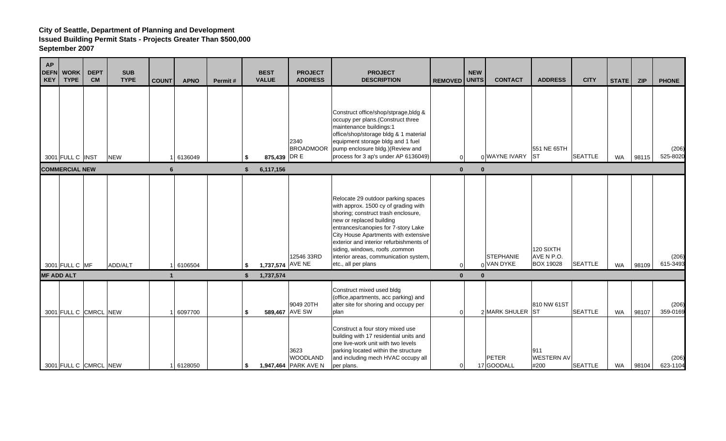| <b>AP</b><br><b>DEFN</b><br><b>KEY</b> | <b>WORK</b><br><b>TYPE</b>                     | <b>DEPT</b><br><b>CM</b> | <b>SUB</b><br><b>TYPE</b> | <b>COUNT</b>   | <b>APNO</b>        | Permit# |          | <b>BEST</b><br><b>VALUE</b> | <b>PROJECT</b><br><b>ADDRESS</b>                                  | <b>PROJECT</b><br><b>DESCRIPTION</b>                                                                                                                                                                                                                                                                                                                                      | <b>REMOVED</b>           | <b>NEW</b><br><b>UNITS</b> | <b>CONTACT</b>                          | <b>ADDRESS</b>                              | <b>CITY</b>                      | STATE     | <b>ZIP</b>     | <b>PHONE</b>                  |
|----------------------------------------|------------------------------------------------|--------------------------|---------------------------|----------------|--------------------|---------|----------|-----------------------------|-------------------------------------------------------------------|---------------------------------------------------------------------------------------------------------------------------------------------------------------------------------------------------------------------------------------------------------------------------------------------------------------------------------------------------------------------------|--------------------------|----------------------------|-----------------------------------------|---------------------------------------------|----------------------------------|-----------|----------------|-------------------------------|
|                                        | 3001 FULL C INST<br><b>COMMERCIAL NEW</b>      |                          | <b>NEW</b>                | 6              | 6136049            |         | \$<br>\$ | 875,439 DR E<br>6,117,156   | 2340<br><b>BROADMOOR</b>                                          | Construct office/shop/stprage, bldg &<br>occupy per plans. (Construct three<br>maintenance buildings:1<br>office/shop/storage bldg & 1 material<br>equipment storage bldg and 1 fuel<br>pump enclosure bldg.) (Review and<br>process for 3 ap's under AP 6136049)                                                                                                         | $\Omega$<br>$\mathbf{0}$ | $\bf{0}$                   | 0 WAYNE IVARY ST                        | 551 NE 65TH                                 | <b>SEATTLE</b>                   | <b>WA</b> | 98115          | (206)<br>525-8020             |
|                                        | 3001 FULL C MF                                 |                          | ADD/ALT                   |                | 6106504            |         | S.       | 1,737,574 AVE NE            | 12546 33RD                                                        | Relocate 29 outdoor parking spaces<br>with approx. 1500 cy of grading with<br>shoring; construct trash enclosure,<br>new or replaced building<br>entrances/canopies for 7-story Lake<br>City House Apartments with extensive<br>exterior and interior refurbishments of<br>siding, windows, roofs, common<br>interior areas, communication system,<br>etc., all per plans | $\Omega$                 |                            | <b>STEPHANIE</b><br>0 VAN DYKE          | 120 SIXTH<br>AVE N P.O.<br><b>BOX 19028</b> | <b>SEATTLE</b>                   | <b>WA</b> | 98109          | (206)<br>615-3493             |
|                                        | <b>MF ADD ALT</b>                              |                          |                           |                |                    |         | \$       | 1,737,574                   | 9049 20TH                                                         | Construct mixed used bldg<br>(office, apartments, acc parking) and<br>alter site for shoring and occupy per                                                                                                                                                                                                                                                               | $\bf{0}$                 | $\Omega$                   |                                         | 810 NW 61ST                                 |                                  |           |                | (206)                         |
|                                        | 3001 FULL C CMRCL NEW<br>3001 FULL C CMRCL NEW |                          |                           | $\overline{1}$ | 6097700<br>6128050 |         | \$<br>\$ |                             | 589,467 AVE SW<br>3623<br><b>WOODLAND</b><br>1,947,464 PARK AVE N | plan<br>Construct a four story mixed use<br>building with 17 residential units and<br>one live-work unit with two levels<br>parking located within the structure<br>and including mech HVAC occupy all<br>per plans.                                                                                                                                                      | $\overline{0}$<br>0      |                            | 2 MARK SHULER ST<br>PETER<br>17 GOODALL | 911<br><b>WESTERN AV</b><br>#200            | <b>SEATTLE</b><br><b>SEATTLE</b> | WA<br>WA  | 98107<br>98104 | 359-0169<br>(206)<br>623-1104 |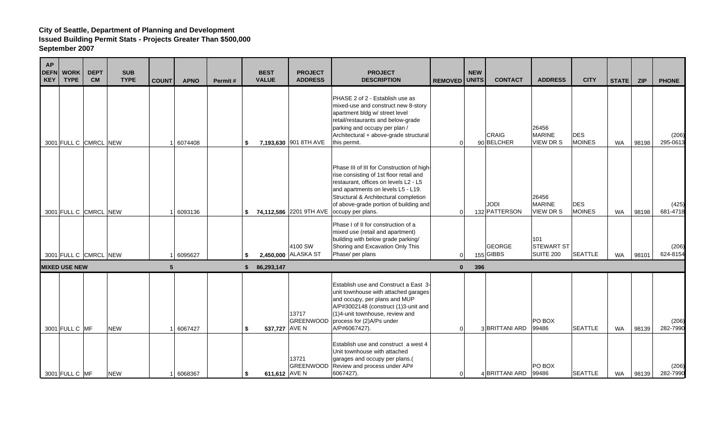| <b>AP</b><br><b>DEFN</b><br>KEY | <b>WORK</b><br><b>TYPE</b>             | <b>DEPT</b><br><b>CM</b> | <b>SUB</b><br><b>TYPE</b> | <b>COUNT</b> | <b>APNO</b> | Permit# |          | <b>BEST</b><br><b>VALUE</b> | <b>PROJECT</b><br><b>ADDRESS</b> | <b>PROJECT</b><br><b>DESCRIPTION</b>                                                                                                                                                                                                                                                                         | <b>REMOVED</b>           | <b>NEW</b><br><b>UNITS</b> | <b>CONTACT</b>               | <b>ADDRESS</b>                               | <b>CITY</b>                 | <b>STATE</b> | <b>ZIP</b> | <b>PHONE</b>      |
|---------------------------------|----------------------------------------|--------------------------|---------------------------|--------------|-------------|---------|----------|-----------------------------|----------------------------------|--------------------------------------------------------------------------------------------------------------------------------------------------------------------------------------------------------------------------------------------------------------------------------------------------------------|--------------------------|----------------------------|------------------------------|----------------------------------------------|-----------------------------|--------------|------------|-------------------|
|                                 | 3001 FULL C CMRCL NEW                  |                          |                           |              | 6074408     |         | \$       |                             | 7,193,630 901 8TH AVE            | PHASE 2 of 2 - Establish use as<br>mixed-use and construct new 8-story<br>apartment bldg w/ street level<br>retail/restaurants and below-grade<br>parking and occupy per plan /<br>Architectural + above-grade structural<br>this permit.                                                                    | $\Omega$                 |                            | CRAIG<br>90 BELCHER          | 26456<br><b>MARINE</b><br><b>VIEW DR S</b>   | <b>DES</b><br><b>MOINES</b> | <b>WA</b>    | 98198      | (206)<br>295-0613 |
|                                 | 3001 FULL C CMRCL NEW                  |                          |                           |              | 6093136     |         | \$       |                             |                                  | Phase III of III for Construction of high-<br>rise consisting of 1st floor retail and<br>restaurant, offices on levels L2 - L5<br>and apartments on levels L5 - L19.<br>Structural & Architectural completion<br>of above-grade portion of building and<br>74,112,586 2201 9TH AVE $\vert$ occupy per plans. | $\Omega$                 |                            | <b>JODI</b><br>132 PATTERSON | 26456<br><b>MARINE</b><br><b>VIEW DR S</b>   | <b>DES</b><br><b>MOINES</b> | <b>WA</b>    | 98198      | (425)<br>681-4718 |
|                                 | 3001 FULL C CMRCL NEW                  |                          |                           |              | 6095627     |         | \$       |                             | 4100 SW<br>2,450,000 ALASKA ST   | Phase I of II for construction of a<br>mixed use (retail and apartment)<br>building with below grade parking/<br>Shoring and Excavation Only This<br>Phase/ per plans                                                                                                                                        | $\Omega$                 |                            | <b>GEORGE</b><br>$155$ GIBBS | 101<br><b>STEWART ST</b><br><b>SUITE 200</b> | <b>SEATTLE</b>              | <b>WA</b>    | 98101      | (206)<br>624-8154 |
|                                 | <b>MIXED USE NEW</b><br>3001 FULL C MF |                          | <b>NEW</b>                | 5            | 6067427     |         | \$<br>\$ | 86,293,147<br>537,727 AVE N | 13717<br><b>GREENWOOD</b>        | Establish use and Construct a East 3-<br>unit townhouse with attached garages<br>and occupy, per plans and MUP<br>A/P#3002148 (construct (1)3-unit and<br>(1)4-unit townhouse, review and<br>process for (2)A/Ps under<br>A/P#6067427).                                                                      | $\mathbf{0}$<br>$\Omega$ | 396                        | 3 BRITTANI ARD               | PO BOX<br>99486                              | <b>SEATTLE</b>              | <b>WA</b>    | 98139      | (206)<br>282-7990 |
|                                 | 3001 FULL C MF                         |                          | <b>NEW</b>                |              | 6068367     |         | \$       | 611,612 AVE N               | 13721<br><b>GREENWOOD</b>        | Establish use and construct a west 4<br>Unit townhouse with attached<br>garages and occupy per plans.(<br>Review and process under AP#<br>6067427).                                                                                                                                                          | $\Omega$                 |                            | 4 BRITTANI ARD               | PO BOX<br>99486                              | <b>SEATTLE</b>              | <b>WA</b>    | 98139      | (206)<br>282-7990 |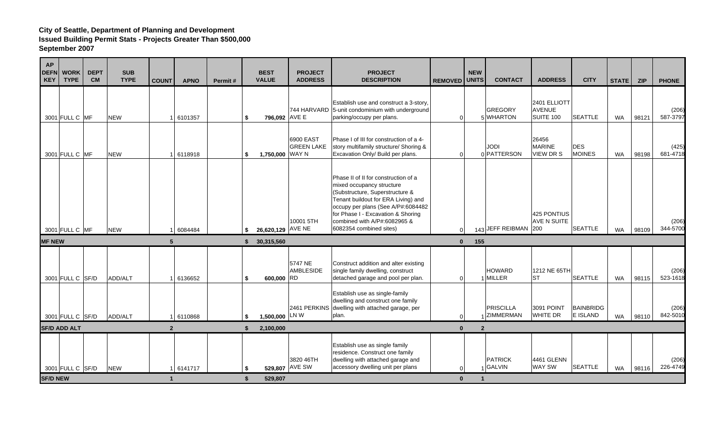| <b>AP</b><br><b>DEFN</b><br><b>KEY</b> | <b>WORK</b><br><b>TYPE</b> | <b>DEPT</b><br><b>CM</b> | <b>SUB</b><br><b>TYPE</b> | <b>COUNT</b>         | <b>APNO</b> | Permit# |          | <b>BEST</b><br><b>VALUE</b> | <b>PROJECT</b><br><b>ADDRESS</b> | <b>PROJECT</b><br><b>DESCRIPTION</b>                                                                                                                                                                                                                                               | <b>REMOVED</b>           | <b>NEW</b><br><b>UNITS</b> | <b>CONTACT</b>                  | <b>ADDRESS</b>                             | <b>CITY</b>                 | <b>STATE</b> | <b>ZIP</b> | <b>PHONE</b>      |
|----------------------------------------|----------------------------|--------------------------|---------------------------|----------------------|-------------|---------|----------|-----------------------------|----------------------------------|------------------------------------------------------------------------------------------------------------------------------------------------------------------------------------------------------------------------------------------------------------------------------------|--------------------------|----------------------------|---------------------------------|--------------------------------------------|-----------------------------|--------------|------------|-------------------|
|                                        | 3001 FULL C MF             |                          | <b>NEW</b>                | $\overline{1}$       | 6101357     |         | \$       | 796,092 AVE E               |                                  | Establish use and construct a 3-story,<br>744 HARVARD 5-unit condominium with underground<br>parking/occupy per plans.                                                                                                                                                             | $\Omega$                 |                            | <b>GREGORY</b><br>5 WHARTON     | 2401 ELLIOTT<br><b>AVENUE</b><br>SUITE 100 | <b>SEATTLE</b>              | <b>WA</b>    | 98121      | (206)<br>587-3797 |
|                                        | 3001 FULL C MF             |                          | <b>NEW</b>                | $\overline{1}$       | 6118918     |         | \$       | 1,750,000 WAY N             | 6900 EAST<br><b>GREEN LAKE</b>   | Phase I of III for construction of a 4-<br>story multifamily structure/ Shoring &<br>Excavation Only/ Build per plans.                                                                                                                                                             | 0                        |                            | <b>JODI</b><br>0 PATTERSON      | 26456<br><b>MARINE</b><br><b>VIEW DR S</b> | <b>DES</b><br><b>MOINES</b> | <b>WA</b>    | 98198      | (425)<br>681-4718 |
|                                        | 3001 FULL C MF             |                          | <b>NEW</b>                |                      | 6084484     |         | \$       | 26,620,129 AVE NE           | 10001 5TH                        | Phase II of II for construction of a<br>mixed occupancy structure<br>(Substructure, Superstructure &<br>Tenant buildout for ERA Living) and<br>occupy per plans (See A/P#:6084482<br>for Phase I - Excavation & Shoring<br>combined with A/P#:6082965 &<br>6082354 combined sites) | $\Omega$                 |                            | 143 JEFF REIBMAN 200            | 425 PONTIUS<br>AVE N SUITE                 | <b>SEATTLE</b>              | <b>WA</b>    | 98109      | (206)<br>344-5700 |
| <b>MF NEW</b>                          |                            |                          |                           | 5                    |             |         | \$.      | 30,315,560                  |                                  |                                                                                                                                                                                                                                                                                    |                          | 155<br>$\mathbf{0}$        |                                 |                                            |                             |              |            |                   |
|                                        | 3001 FULL C SF/D           |                          | ADD/ALT                   |                      | 6136652     |         | \$       | 600,000 RD                  | 5747 NE<br>AMBLESIDE             | Construct addition and alter existing<br>single family dwelling, construct<br>detached garage and pool per plan.                                                                                                                                                                   | $\Omega$                 |                            | <b>HOWARD</b><br>1 MILLER       | 1212 NE 65TH<br><b>ST</b>                  | <b>SEATTLE</b>              | <b>WA</b>    | 98115      | (206)<br>523-1618 |
|                                        | 3001 FULL C SF/D           |                          | ADD/ALT                   | 1                    | 6110868     |         | \$       | 1,500,000 LNW               |                                  | Establish use as single-family<br>dwelling and construct one family<br>2461 PERKINS dwelling with attached garage, per<br>plan.                                                                                                                                                    | $\Omega$                 |                            | <b>PRISCILLA</b><br>1 ZIMMERMAN | 3091 POINT<br><b>WHITE DR</b>              | BAINBRIDG<br>E ISLAND       | WA           | 98110      | (206)<br>842-5010 |
| <b>SF/D ADD ALT</b><br>2 <sup>2</sup>  |                            |                          |                           |                      |             |         | \$       | 2,100,000                   |                                  |                                                                                                                                                                                                                                                                                    | $\mathbf{0}$             | $\overline{2}$             |                                 |                                            |                             |              |            |                   |
| <b>SF/D NEW</b>                        | 3001 FULL C SF/D           |                          | <b>NEW</b>                | $\blacktriangleleft$ | 1 6141717   |         | \$<br>\$ | 529,807                     | 3820 46TH<br>529,807 AVE SW      | Establish use as single family<br>residence. Construct one family<br>dwelling with attached garage and<br>accessory dwelling unit per plans                                                                                                                                        | $\Omega$<br>$\mathbf{0}$ | $\overline{1}$             | <b>PATRICK</b><br>$1$ GALVIN    | 4461 GLENN<br><b>WAY SW</b>                | <b>SEATTLE</b>              | <b>WA</b>    | 98116      | (206)<br>226-4749 |